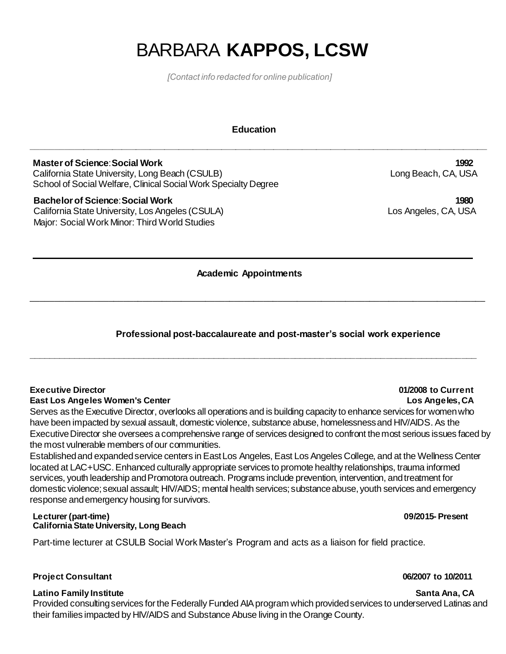# BARBARA **KAPPOS, LCSW**

*[Contact info redacted for online publication]*

### **Education**

**\_\_\_\_\_\_\_\_\_\_\_\_\_\_\_\_\_\_\_\_\_\_\_\_\_\_\_\_\_\_\_\_\_\_\_\_\_\_\_\_\_\_\_\_\_\_\_\_\_\_\_\_\_\_\_\_\_\_\_\_\_\_\_\_\_\_\_\_\_\_\_\_\_\_\_\_\_\_\_\_\_\_\_\_\_\_\_\_\_\_\_\_\_\_\_\_**

**Master of Science**: **Social Work 1992** California State University, Long Beach (CSULB) Long Beach, CA, USA School of Social Welfare, Clinical Social Work Specialty Degree

**Bachelor of Science**: **Social Work 1980** California State University, Los Angeles (CSULA) Los Angeles, CA, USA

Major: Social Work Minor: Third World Studies

# **Academic Appointments**

\_\_\_\_\_\_\_\_\_\_\_\_\_\_\_\_\_\_\_\_\_\_\_\_\_\_\_\_\_\_\_\_\_\_\_\_\_\_\_\_\_\_\_\_\_\_\_\_\_\_\_\_\_\_\_\_\_\_\_\_\_\_\_\_\_\_\_\_\_\_\_\_\_\_\_\_\_\_\_\_\_\_\_\_\_\_\_\_\_\_\_\_\_\_

**\_\_\_\_\_\_\_\_\_\_\_\_\_\_\_\_\_\_\_\_\_\_\_\_\_\_\_\_\_\_\_\_\_\_\_\_\_\_\_\_\_\_\_\_\_\_\_\_\_\_\_\_\_\_\_\_\_\_\_\_\_\_\_\_\_\_\_\_\_\_\_\_\_\_\_\_\_\_\_\_\_\_\_\_\_\_\_\_\_**

# **Professional post-baccalaureate and post-master's social work experience**

### **Executive Director 01/2008 to Current**

### **East Los Angeles Women's Center Los Angeles, CA**

Serves as the Executive Director, overlooks all operations and is building capacity to enhance services for women who have been impacted by sexual assault, domestic violence, substance abuse, homelessness and HIV/AIDS. As the Executive Director she oversees acomprehensive range of services designed to confront the most serious issues faced by the most vulnerable members of our communities.

Established and expanded service centers in East Los Angeles, East Los Angeles College, and at the Wellness Center located at LAC+USC. Enhanced culturally appropriate services to promote healthy relationships, trauma informed services, youth leadership and Promotora outreach. Programs include prevention, intervention, and treatment for domestic violence; sexual assault; HIV/AIDS; mental health services; substance abuse, youth services and emergency response and emergency housing for survivors.

### **Lecturer (part-time) 09/2015- Present California State University, Long Beach**

Part-time lecturer at CSULB Social Work Master's Program and acts as a liaison for field practice.

### **Project Consultant 06/2007 to 10/2011**

### **Latino Family Institute Santa Ana, CA**

Provided consulting services for the Federally Funded AIA program which provided services to underserved Latinas and their families impacted by HIV/AIDS and Substance Abuse living in the Orange County.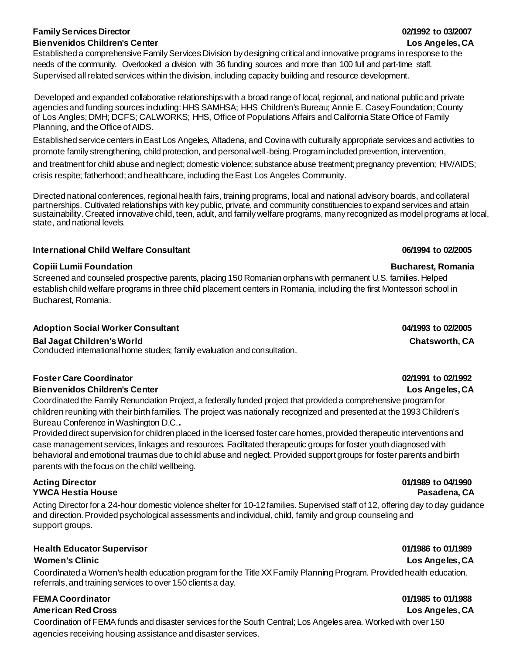# **Family Services Director 02/1992 to 03/2007 Bienvenidos Children's Center Los Angeles, CA**

Established a comprehensive Family Services Division by designing critical and innovative programs in response to the needs of the community. Overlooked a division with 36 funding sources and more than 100 full and part-time staff. Supervised all related services within the division, including capacity building and resource development.

Developed and expanded collaborative relationships with a broad range of local, regional, and national public and private agencies and funding sources including: HHS SAMHSA; HHS Children's Bureau; Annie E. Casey Foundation; County of Los Angles; DMH; DCFS; CALWORKS; HHS, Office of Populations Affairs and California State Office of Family Planning, and the Office of AIDS.

Established service centers in East Los Angeles, Altadena, and Covina with culturally appropriate services and activities to promote family strengthening, child protection, and personal well-being. Program included prevention, intervention,

and treatment for child abuse and neglect; domestic violence; substance abuse treatment; pregnancy prevention; HIV/AIDS; crisis respite; fatherhood; and healthcare, including the East Los Angeles Community.

Directed national conferences, regional health fairs, training programs, local and national advisory boards, and collateral partnerships. Cultivated relationships with key public, private, and community constituencies to expand services and attain sustainability. Created innovative child, teen, adult, and family welfare programs, many recognized as model programs at local, state, and national levels.

# **International Child Welfare Consultant 06/1994 to 02/2005**

# **Copiii Lumii Foundation Bucharest, Romania**

Screened and counseled prospective parents, placing 150 Romanian orphans with permanent U.S. families. Helped establish child welfare programs in three child placement centers in Romania, including the first Montessori school in Bucharest, Romania.

# **Adoption Social Worker Consultant 04/1993 to 02/2005**

**Bal Jagat Children's World Chatsworth, CA**

Conducted international home studies; family evaluation and consultation.

# **Foster Care Coordinator 02/1991 to 02/1992**

**Bienvenidos Children's Center Los Angeles, CA** Coordinated the Family Renunciation Project, a federally funded project that provided a comprehensive program for children reuniting with their birth families. The project was nationally recognized and presented at the 1993 Children's Bureau Conference in Washington D.C.**.**

Provided direct supervision for children placed in the licensed foster care homes, provided therapeutic interventions and case management services, linkages and resources. Facilitated therapeutic groups for foster youth diagnosed with behavioral and emotional traumas due to child abuse and neglect. Provided support groups for foster parents and birth parents with the focus on the child wellbeing.

# **Acting Director 01/1989 to 04/1990 YWCA Hestia House Pasadena, CA**

Acting Director for a 24-hour domestic violence shelter for 10-12 families. Supervised staff of 12, offering day to day guidance and direction. Provided psychological assessments and individual, child, family and group counseling and support groups.

# **Health Educator Supervisor 01/1986 to 01/1989**

Coordinated a Women's health education program for the Title XX Family Planning Program. Provided health education, referrals, and training services to over 150 clients a day.

# **FEMACoordinator 01/1985 to 01/1988**

# **American Red Cross Los Angeles, CA**

Coordination of FEMA funds and disaster services for the South Central; Los Angeles area. Worked with over 150 agencies receiving housing assistance and disaster services.

# **Women's Clinic Los Angeles, CA**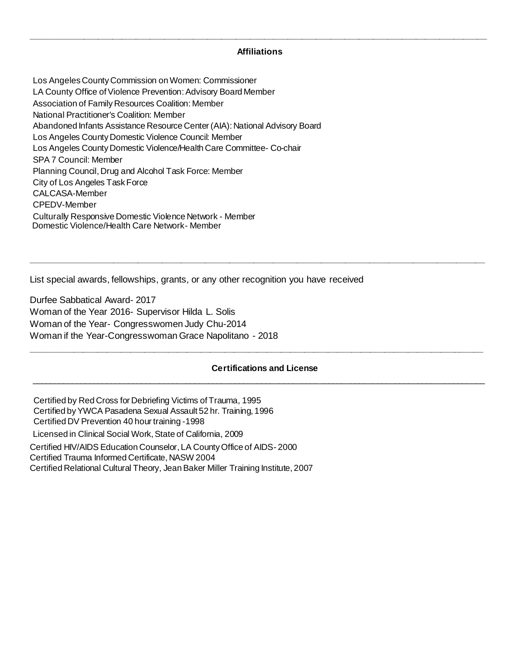# **\_\_\_\_\_\_\_\_\_\_\_\_\_\_\_\_\_\_\_\_\_\_\_\_\_\_\_\_\_\_\_\_\_\_\_\_\_\_\_\_\_\_\_\_\_\_\_\_\_\_\_\_\_\_\_\_\_\_\_\_\_\_\_\_\_\_\_\_\_\_\_\_\_\_\_\_\_\_\_\_\_\_\_\_\_\_\_\_\_\_\_\_\_\_\_\_ Affiliations**

Los Angeles County Commission on Women: Commissioner LA County Office of Violence Prevention: Advisory Board Member Association of Family Resources Coalition: Member National Practitioner's Coalition: Member Abandoned Infants Assistance Resource Center (AIA): National Advisory Board Los Angeles County Domestic Violence Council: Member Los Angeles County Domestic Violence/Health Care Committee- Co-chair SPA 7 Council: Member Planning Council, Drug and Alcohol Task Force: Member City of Los Angeles Task Force CALCASA-Member CPEDV-Member Culturally Responsive Domestic Violence Network - Member Domestic Violence/Health Care Network- Member

List special awards, fellowships, grants, or any other recognition you have received

Durfee Sabbatical Award- 2017 Woman of the Year 2016- Supervisor Hilda L. Solis Woman of the Year- Congresswomen Judy Chu-2014 Woman if the Year-Congresswoman Grace Napolitano - 2018

### **Certifications and License** \_\_\_\_\_\_\_\_\_\_\_\_\_\_\_\_\_\_\_\_\_\_\_\_\_\_\_\_\_\_\_\_\_\_\_\_\_\_\_\_\_\_\_\_\_\_\_\_\_\_\_\_\_\_\_\_\_\_\_\_\_\_\_\_\_\_\_\_\_\_\_\_\_\_\_\_\_\_\_\_\_\_\_\_\_\_\_\_\_\_\_\_\_\_\_\_\_\_\_\_\_\_

**\_\_\_\_\_\_\_\_\_\_\_\_\_\_\_\_\_\_\_\_\_\_\_\_\_\_\_\_\_\_\_\_\_\_\_\_\_\_\_\_\_\_\_\_\_\_\_\_\_\_\_\_\_\_\_\_\_\_\_\_\_\_\_\_\_\_\_\_\_\_\_\_\_\_\_\_\_\_\_\_\_\_\_\_\_\_\_\_\_\_\_\_\_\_\_\_**

**\_\_\_\_\_\_\_\_\_\_\_\_\_\_\_\_\_\_\_\_\_\_\_\_\_\_\_\_\_\_\_\_\_\_\_\_\_\_\_\_\_\_\_\_\_\_\_\_\_\_\_\_\_\_\_\_\_\_\_\_\_\_\_\_\_\_\_\_\_\_\_\_\_\_\_\_\_\_\_\_\_\_\_\_\_\_\_\_\_\_\_\_\_\_**

Certified by Red Cross for Debriefing Victims of Trauma, 1995 Certified by YWCA Pasadena Sexual Assault 52 hr. Training, 1996 Certified DV Prevention 40 hour training -1998 Licensed in Clinical Social Work, State of California, 2009 Certified HIV/AIDS Education Counselor, LA County Office of AIDS- 2000 Certified Trauma Informed Certificate, NASW 2004 Certified Relational Cultural Theory, Jean Baker Miller Training Institute, 2007